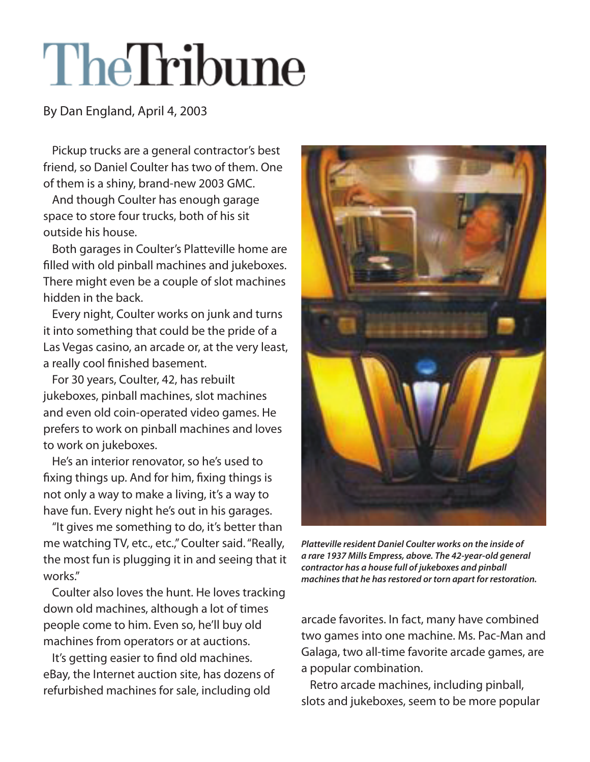## TheTribune

By Dan England, April 4, 2003

Pickup trucks are a general contractor's best friend, so Daniel Coulter has two of them. One of them is a shiny, brand-new 2003 GMC.

And though Coulter has enough garage space to store four trucks, both of his sit outside his house.

Both garages in Coulter's Platteville home are filled with old pinball machines and jukeboxes. There might even be a couple of slot machines hidden in the back.

Every night, Coulter works on junk and turns it into something that could be the pride of a Las Vegas casino, an arcade or, at the very least, a really cool finished basement.

For 30 years, Coulter, 42, has rebuilt jukeboxes, pinball machines, slot machines and even old coin-operated video games. He prefers to work on pinball machines and loves to work on jukeboxes.

He's an interior renovator, so he's used to fixing things up. And for him, fixing things is not only a way to make a living, it's a way to have fun. Every night he's out in his garages.

"It gives me something to do, it's better than me watching TV, etc., etc.," Coulter said. "Really, the most fun is plugging it in and seeing that it works."

Coulter also loves the hunt. He loves tracking down old machines, although a lot of times people come to him. Even so, he'll buy old machines from operators or at auctions.

It's getting easier to find old machines. eBay, the Internet auction site, has dozens of refurbished machines for sale, including old



*Platteville resident Daniel Coulter works on the inside of a rare 1937 Mills Empress, above. The 42-year-old general contractor has a house full of jukeboxes and pinball machines that he has restored or torn apart for restoration.*

arcade favorites. In fact, many have combined two games into one machine. Ms. Pac-Man and Galaga, two all-time favorite arcade games, are a popular combination.

Retro arcade machines, including pinball, slots and jukeboxes, seem to be more popular